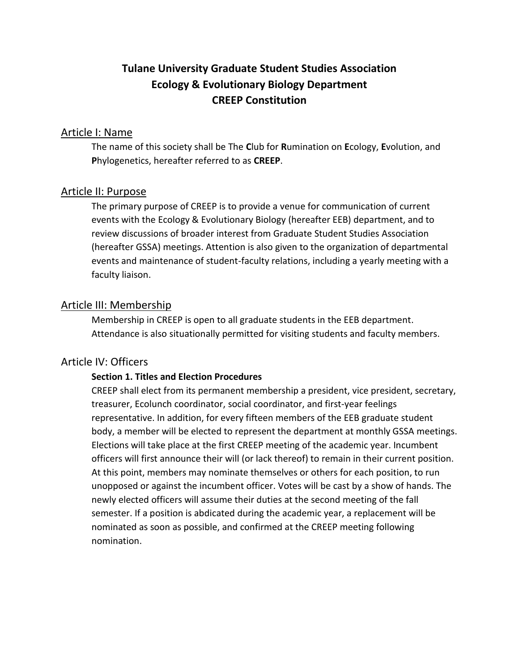# **Tulane University Graduate Student Studies Association Ecology & Evolutionary Biology Department CREEP Constitution**

## Article I: Name

The name of this society shall be The **C**lub for **R**umination on **E**cology, **E**volution, and **P**hylogenetics, hereafter referred to as **CREEP**.

# Article II: Purpose

The primary purpose of CREEP is to provide a venue for communication of current events with the Ecology & Evolutionary Biology (hereafter EEB) department, and to review discussions of broader interest from Graduate Student Studies Association (hereafter GSSA) meetings. Attention is also given to the organization of departmental events and maintenance of student-faculty relations, including a yearly meeting with a faculty liaison.

## Article III: Membership

Membership in CREEP is open to all graduate students in the EEB department. Attendance is also situationally permitted for visiting students and faculty members.

#### Article IV: Officers

#### **Section 1. Titles and Election Procedures**

CREEP shall elect from its permanent membership a president, vice president, secretary, treasurer, Ecolunch coordinator, social coordinator, and first-year feelings representative. In addition, for every fifteen members of the EEB graduate student body, a member will be elected to represent the department at monthly GSSA meetings. Elections will take place at the first CREEP meeting of the academic year. Incumbent officers will first announce their will (or lack thereof) to remain in their current position. At this point, members may nominate themselves or others for each position, to run unopposed or against the incumbent officer. Votes will be cast by a show of hands. The newly elected officers will assume their duties at the second meeting of the fall semester. If a position is abdicated during the academic year, a replacement will be nominated as soon as possible, and confirmed at the CREEP meeting following nomination.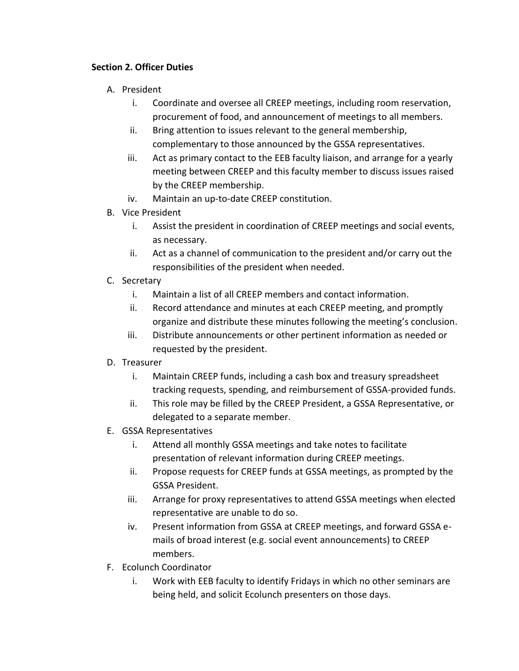#### **Section 2. Officer Duties**

- A. President
	- i. Coordinate and oversee all CREEP meetings, including room reservation, procurement of food, and announcement of meetings to all members.
	- ii. Bring attention to issues relevant to the general membership, complementary to those announced by the GSSA representatives.
	- iii. Act as primary contact to the EEB faculty liaison, and arrange for a yearly meeting between CREEP and this faculty member to discuss issues raised by the CREEP membership.
	- iv. Maintain an up-to-date CREEP constitution.
- B. Vice President
	- i. Assist the president in coordination of CREEP meetings and social events, as necessary.
	- ii. Act as a channel of communication to the president and/or carry out the responsibilities of the president when needed.
- C. Secretary
	- i. Maintain a list of all CREEP members and contact information.
	- ii. Record attendance and minutes at each CREEP meeting, and promptly organize and distribute these minutes following the meeting's conclusion.
	- iii. Distribute announcements or other pertinent information as needed or requested by the president.
- D. Treasurer
	- i. Maintain CREEP funds, including a cash box and treasury spreadsheet tracking requests, spending, and reimbursement of GSSA-provided funds.
	- ii. This role may be filled by the CREEP President, a GSSA Representative, or delegated to a separate member.
- E. GSSA Representatives
	- i. Attend all monthly GSSA meetings and take notes to facilitate presentation of relevant information during CREEP meetings.
	- ii. Propose requests for CREEP funds at GSSA meetings, as prompted by the GSSA President.
	- iii. Arrange for proxy representatives to attend GSSA meetings when elected representative are unable to do so.
	- iv. Present information from GSSA at CREEP meetings, and forward GSSA emails of broad interest (e.g. social event announcements) to CREEP members.
- F. Ecolunch Coordinator
	- i. Work with EEB faculty to identify Fridays in which no other seminars are being held, and solicit Ecolunch presenters on those days.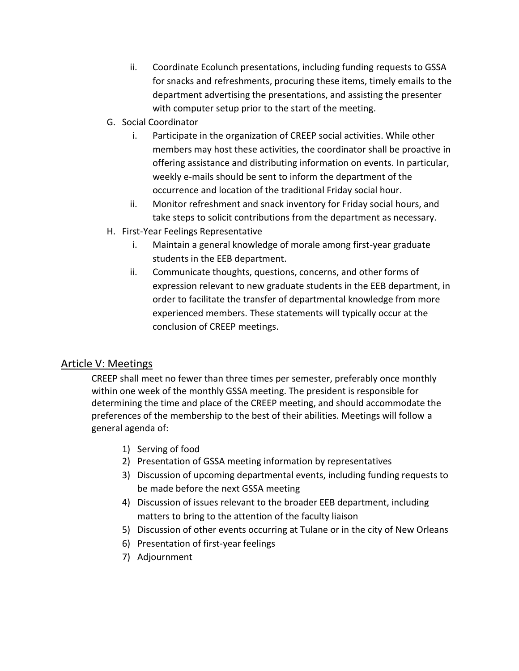- ii. Coordinate Ecolunch presentations, including funding requests to GSSA for snacks and refreshments, procuring these items, timely emails to the department advertising the presentations, and assisting the presenter with computer setup prior to the start of the meeting.
- G. Social Coordinator
	- i. Participate in the organization of CREEP social activities. While other members may host these activities, the coordinator shall be proactive in offering assistance and distributing information on events. In particular, weekly e-mails should be sent to inform the department of the occurrence and location of the traditional Friday social hour.
	- ii. Monitor refreshment and snack inventory for Friday social hours, and take steps to solicit contributions from the department as necessary.
- H. First-Year Feelings Representative
	- i. Maintain a general knowledge of morale among first-year graduate students in the EEB department.
	- ii. Communicate thoughts, questions, concerns, and other forms of expression relevant to new graduate students in the EEB department, in order to facilitate the transfer of departmental knowledge from more experienced members. These statements will typically occur at the conclusion of CREEP meetings.

# Article V: Meetings

CREEP shall meet no fewer than three times per semester, preferably once monthly within one week of the monthly GSSA meeting. The president is responsible for determining the time and place of the CREEP meeting, and should accommodate the preferences of the membership to the best of their abilities. Meetings will follow a general agenda of:

- 1) Serving of food
- 2) Presentation of GSSA meeting information by representatives
- 3) Discussion of upcoming departmental events, including funding requests to be made before the next GSSA meeting
- 4) Discussion of issues relevant to the broader EEB department, including matters to bring to the attention of the faculty liaison
- 5) Discussion of other events occurring at Tulane or in the city of New Orleans
- 6) Presentation of first-year feelings
- 7) Adjournment